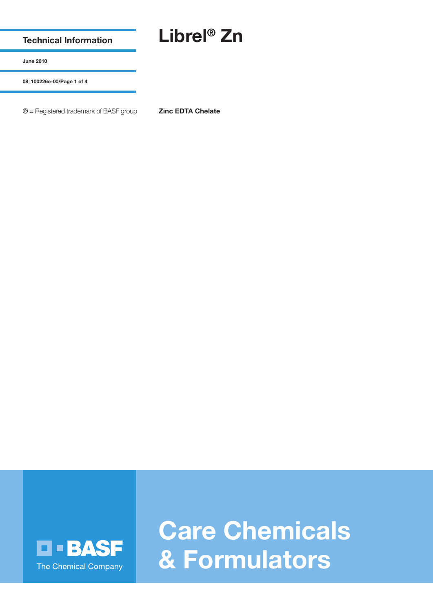**Technical Information**

## **Librel® Zn**

**June 2010**

**08\_100226e-00/Page 1 of 4**

® = Registered trademark of BASF group **Zinc EDTA Chelate**



**Care Chemicals & Formulators**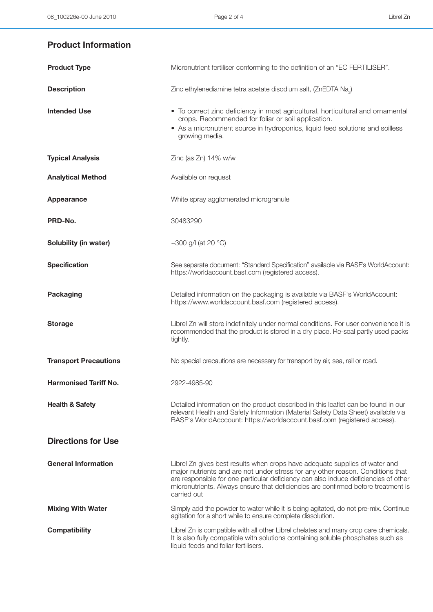## **Product Information**

| <b>Product Type</b>          | Micronutrient fertiliser conforming to the definition of an "EC FERTILISER".                                                                                                                                                                                                                                                                             |
|------------------------------|----------------------------------------------------------------------------------------------------------------------------------------------------------------------------------------------------------------------------------------------------------------------------------------------------------------------------------------------------------|
| <b>Description</b>           | Zinc ethylenediamine tetra acetate disodium salt, (ZnEDTA Na <sub>2</sub> )                                                                                                                                                                                                                                                                              |
| <b>Intended Use</b>          | • To correct zinc deficiency in most agricultural, horticultural and ornamental<br>crops. Recommended for foliar or soil application.<br>• As a micronutrient source in hydroponics, liquid feed solutions and soilless<br>growing media.                                                                                                                |
| <b>Typical Analysis</b>      | Zinc (as $Zn$ ) 14% w/w                                                                                                                                                                                                                                                                                                                                  |
| <b>Analytical Method</b>     | Available on request                                                                                                                                                                                                                                                                                                                                     |
| <b>Appearance</b>            | White spray agglomerated microgranule                                                                                                                                                                                                                                                                                                                    |
| PRD-No.                      | 30483290                                                                                                                                                                                                                                                                                                                                                 |
| Solubility (in water)        | ~300 g/l (at 20 $^{\circ}$ C)                                                                                                                                                                                                                                                                                                                            |
| <b>Specification</b>         | See separate document: "Standard Specification" available via BASF's WorldAccount:<br>https://worldaccount.basf.com (registered access).                                                                                                                                                                                                                 |
| <b>Packaging</b>             | Detailed information on the packaging is available via BASF's WorldAccount:<br>https://www.worldaccount.basf.com (registered access).                                                                                                                                                                                                                    |
| <b>Storage</b>               | Librel Zn will store indefinitely under normal conditions. For user convenience it is<br>recommended that the product is stored in a dry place. Re-seal partly used packs<br>tightly.                                                                                                                                                                    |
| <b>Transport Precautions</b> | No special precautions are necessary for transport by air, sea, rail or road.                                                                                                                                                                                                                                                                            |
| <b>Harmonised Tariff No.</b> | 2922-4985-90                                                                                                                                                                                                                                                                                                                                             |
| <b>Health &amp; Safety</b>   | Detailed information on the product described in this leaflet can be found in our<br>relevant Health and Safety Information (Material Safety Data Sheet) available via<br>BASF's WorldAcccount: https://worldaccount.basf.com (registered access).                                                                                                       |
| <b>Directions for Use</b>    |                                                                                                                                                                                                                                                                                                                                                          |
| <b>General Information</b>   | Librel Zn gives best results when crops have adequate supplies of water and<br>major nutrients and are not under stress for any other reason. Conditions that<br>are responsible for one particular deficiency can also induce deficiencies of other<br>micronutrients. Always ensure that deficiencies are confirmed before treatment is<br>carried out |
| <b>Mixing With Water</b>     | Simply add the powder to water while it is being agitated, do not pre-mix. Continue<br>agitation for a short while to ensure complete dissolution.                                                                                                                                                                                                       |
| <b>Compatibility</b>         | Librel Zn is compatible with all other Librel chelates and many crop care chemicals.<br>It is also fully compatible with solutions containing soluble phosphates such as<br>liquid feeds and foliar fertilisers.                                                                                                                                         |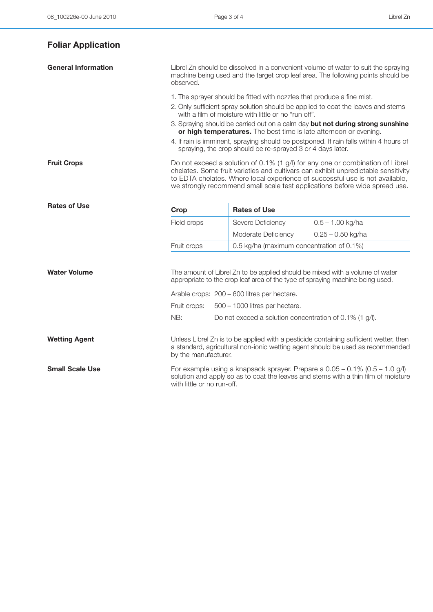| <b>Foliar Application</b>  |                                                                                                                                                                                                    |                                                                   |                                                                                                                                                                                                                                                                                                                                    |
|----------------------------|----------------------------------------------------------------------------------------------------------------------------------------------------------------------------------------------------|-------------------------------------------------------------------|------------------------------------------------------------------------------------------------------------------------------------------------------------------------------------------------------------------------------------------------------------------------------------------------------------------------------------|
| <b>General Information</b> | Librel Zn should be dissolved in a convenient volume of water to suit the spraying<br>machine being used and the target crop leaf area. The following points should be<br>observed.                |                                                                   |                                                                                                                                                                                                                                                                                                                                    |
|                            | 1. The sprayer should be fitted with nozzles that produce a fine mist.                                                                                                                             |                                                                   |                                                                                                                                                                                                                                                                                                                                    |
|                            | 2. Only sufficient spray solution should be applied to coat the leaves and stems<br>with a film of moisture with little or no "run off".                                                           |                                                                   |                                                                                                                                                                                                                                                                                                                                    |
|                            |                                                                                                                                                                                                    | or high temperatures. The best time is late afternoon or evening. | 3. Spraying should be carried out on a calm day but not during strong sunshine                                                                                                                                                                                                                                                     |
|                            |                                                                                                                                                                                                    | spraying, the crop should be re-sprayed 3 or 4 days later.        | 4. If rain is imminent, spraying should be postponed. If rain falls within 4 hours of                                                                                                                                                                                                                                              |
| <b>Fruit Crops</b>         |                                                                                                                                                                                                    |                                                                   | Do not exceed a solution of 0.1% (1 g/l) for any one or combination of Librel<br>chelates. Some fruit varieties and cultivars can exhibit unpredictable sensitivity<br>to EDTA chelates. Where local experience of successful use is not available,<br>we strongly recommend small scale test applications before wide spread use. |
| <b>Rates of Use</b>        | Crop                                                                                                                                                                                               | <b>Rates of Use</b>                                               |                                                                                                                                                                                                                                                                                                                                    |
|                            | Field crops                                                                                                                                                                                        | Severe Deficiency                                                 | $0.5 - 1.00$ kg/ha                                                                                                                                                                                                                                                                                                                 |
|                            |                                                                                                                                                                                                    | Moderate Deficiency                                               | $0.25 - 0.50$ kg/ha                                                                                                                                                                                                                                                                                                                |
|                            | Fruit crops                                                                                                                                                                                        | 0.5 kg/ha (maximum concentration of 0.1%)                         |                                                                                                                                                                                                                                                                                                                                    |
| <b>Water Volume</b>        | The amount of Librel Zn to be applied should be mixed with a volume of water<br>appropriate to the crop leaf area of the type of spraying machine being used.                                      |                                                                   |                                                                                                                                                                                                                                                                                                                                    |
|                            | Arable crops: 200 - 600 litres per hectare.                                                                                                                                                        |                                                                   |                                                                                                                                                                                                                                                                                                                                    |
|                            | Fruit crops:<br>500 - 1000 litres per hectare.                                                                                                                                                     |                                                                   |                                                                                                                                                                                                                                                                                                                                    |
|                            | NB:                                                                                                                                                                                                | Do not exceed a solution concentration of 0.1% (1 g/l).           |                                                                                                                                                                                                                                                                                                                                    |
| <b>Wetting Agent</b>       | by the manufacturer.                                                                                                                                                                               |                                                                   | Unless Librel Zn is to be applied with a pesticide containing sufficient wetter, then<br>a standard, agricultural non-ionic wetting agent should be used as recommended                                                                                                                                                            |
| <b>Small Scale Use</b>     | For example using a knapsack sprayer. Prepare a $0.05 - 0.1\%$ (0.5 – 1.0 g/l)<br>solution and apply so as to coat the leaves and stems with a thin film of moisture<br>with little or no run-off. |                                                                   |                                                                                                                                                                                                                                                                                                                                    |